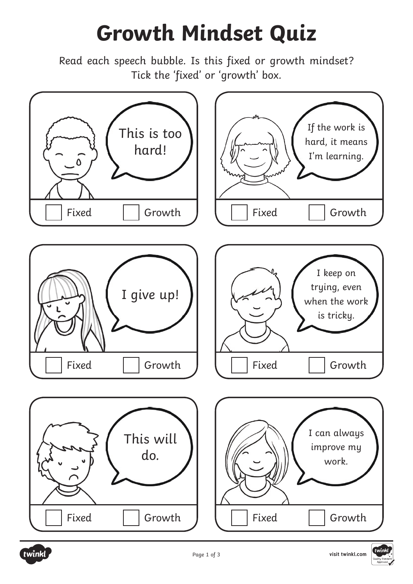## **Growth Mindset Quiz**

Read each speech bubble. Is this fixed or growth mindset? Tick the 'fixed' or 'growth' box.

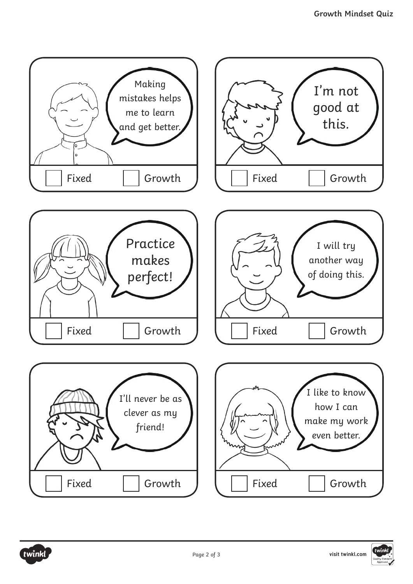

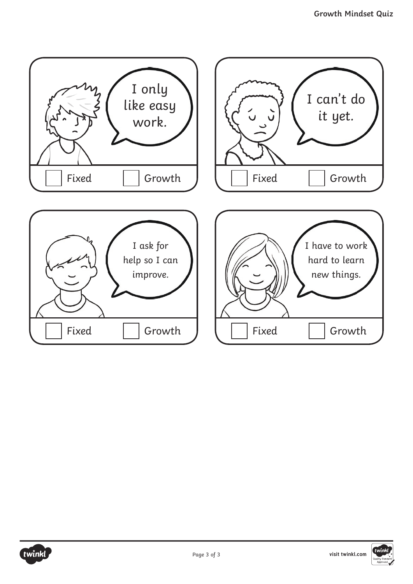